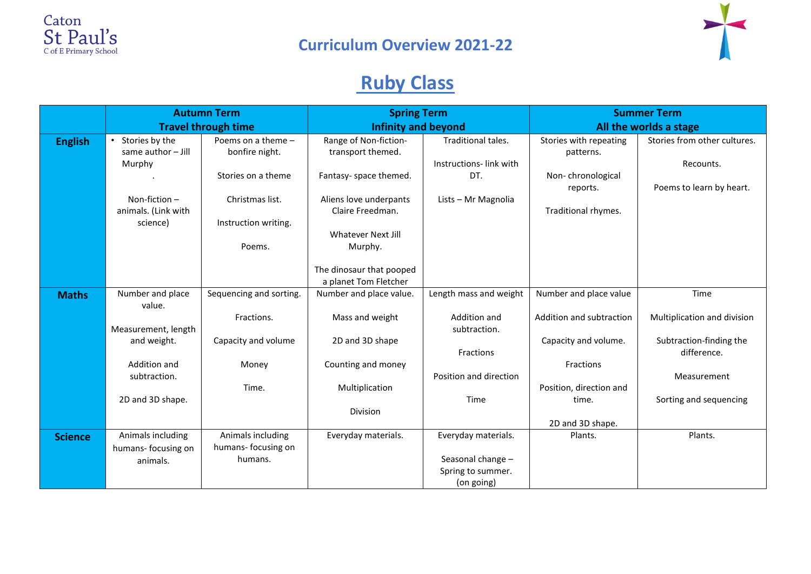



# **Ruby Class**

|                | <b>Autumn Term</b><br><b>Travel through time</b>    |                                      | <b>Spring Term</b><br><b>Infinity and beyond</b> |                        | <b>Summer Term</b><br>All the worlds a stage |                                        |
|----------------|-----------------------------------------------------|--------------------------------------|--------------------------------------------------|------------------------|----------------------------------------------|----------------------------------------|
|                |                                                     |                                      |                                                  |                        |                                              |                                        |
| <b>English</b> | Stories by the<br>$\bullet$<br>same author $-$ Jill | Poems on a theme -<br>bonfire night. | Range of Non-fiction-<br>transport themed.       | Traditional tales.     | Stories with repeating<br>patterns.          | Stories from other cultures.           |
|                | Murphy                                              |                                      |                                                  | Instructions-link with |                                              | Recounts.                              |
|                |                                                     | Stories on a theme                   | Fantasy- space themed.                           | DT.                    | Non-chronological<br>reports.                | Poems to learn by heart.               |
|                | Non-fiction-                                        | Christmas list.                      | Aliens love underpants                           | Lists - Mr Magnolia    |                                              |                                        |
|                | animals. (Link with                                 |                                      | Claire Freedman.                                 |                        | Traditional rhymes.                          |                                        |
|                | science)                                            | Instruction writing.                 |                                                  |                        |                                              |                                        |
|                |                                                     |                                      | Whatever Next Jill                               |                        |                                              |                                        |
|                |                                                     | Poems.                               | Murphy.                                          |                        |                                              |                                        |
|                |                                                     |                                      | The dinosaur that pooped                         |                        |                                              |                                        |
|                |                                                     |                                      | a planet Tom Fletcher                            |                        |                                              |                                        |
| <b>Maths</b>   | Number and place                                    | Sequencing and sorting.              | Number and place value.                          | Length mass and weight | Number and place value                       | Time                                   |
|                | value.                                              |                                      |                                                  |                        |                                              |                                        |
|                |                                                     | Fractions.                           | Mass and weight                                  | Addition and           | Addition and subtraction                     | Multiplication and division            |
|                | Measurement, length                                 |                                      |                                                  | subtraction.           |                                              |                                        |
|                | and weight.                                         | Capacity and volume                  | 2D and 3D shape                                  | Fractions              | Capacity and volume.                         | Subtraction-finding the<br>difference. |
|                | Addition and                                        | Money                                | Counting and money                               |                        | Fractions                                    |                                        |
|                | subtraction.                                        |                                      |                                                  | Position and direction |                                              | Measurement                            |
|                |                                                     | Time.                                | Multiplication                                   |                        | Position, direction and                      |                                        |
|                | 2D and 3D shape.                                    |                                      |                                                  | Time                   | time.                                        | Sorting and sequencing                 |
|                |                                                     |                                      | <b>Division</b>                                  |                        |                                              |                                        |
|                |                                                     |                                      |                                                  |                        | 2D and 3D shape.                             |                                        |
| <b>Science</b> | Animals including                                   | Animals including                    | Everyday materials.                              | Everyday materials.    | Plants.                                      | Plants.                                |
|                | humans- focusing on                                 | humans- focusing on<br>humans.       |                                                  | Seasonal change -      |                                              |                                        |
|                | animals.                                            |                                      |                                                  | Spring to summer.      |                                              |                                        |
|                |                                                     |                                      |                                                  | (on going)             |                                              |                                        |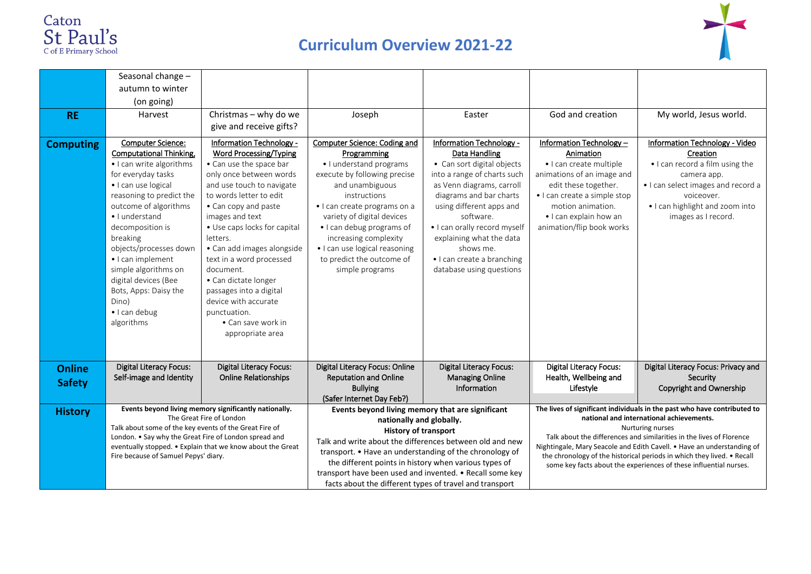



|                                | Seasonal change -<br>autumn to winter                                                                                                                                                                                                                                                                                                                                                                      |                                                                                                                                                                                                                                                                                                                                                                                                                                                                            |                                                                                                                                                                                                                                                                                                                                                                                                                    |                                                                                                                                                                                                                                                                                                                                                   |                                                                                                                                                                                                                                                                                                                                                                                                                                           |                                                                                                                                                                                                            |
|--------------------------------|------------------------------------------------------------------------------------------------------------------------------------------------------------------------------------------------------------------------------------------------------------------------------------------------------------------------------------------------------------------------------------------------------------|----------------------------------------------------------------------------------------------------------------------------------------------------------------------------------------------------------------------------------------------------------------------------------------------------------------------------------------------------------------------------------------------------------------------------------------------------------------------------|--------------------------------------------------------------------------------------------------------------------------------------------------------------------------------------------------------------------------------------------------------------------------------------------------------------------------------------------------------------------------------------------------------------------|---------------------------------------------------------------------------------------------------------------------------------------------------------------------------------------------------------------------------------------------------------------------------------------------------------------------------------------------------|-------------------------------------------------------------------------------------------------------------------------------------------------------------------------------------------------------------------------------------------------------------------------------------------------------------------------------------------------------------------------------------------------------------------------------------------|------------------------------------------------------------------------------------------------------------------------------------------------------------------------------------------------------------|
|                                | (on going)                                                                                                                                                                                                                                                                                                                                                                                                 |                                                                                                                                                                                                                                                                                                                                                                                                                                                                            |                                                                                                                                                                                                                                                                                                                                                                                                                    |                                                                                                                                                                                                                                                                                                                                                   |                                                                                                                                                                                                                                                                                                                                                                                                                                           |                                                                                                                                                                                                            |
| <b>RE</b>                      | Harvest                                                                                                                                                                                                                                                                                                                                                                                                    | Christmas - why do we<br>give and receive gifts?                                                                                                                                                                                                                                                                                                                                                                                                                           | Joseph                                                                                                                                                                                                                                                                                                                                                                                                             | Easter                                                                                                                                                                                                                                                                                                                                            | God and creation                                                                                                                                                                                                                                                                                                                                                                                                                          | My world, Jesus world.                                                                                                                                                                                     |
| <b>Computing</b>               | <b>Computer Science:</b><br><b>Computational Thinking,</b><br>· I can write algorithms<br>for everyday tasks<br>· I can use logical<br>reasoning to predict the<br>outcome of algorithms<br>· I understand<br>decomposition is<br>breaking<br>objects/processes down<br>· I can implement<br>simple algorithms on<br>digital devices (Bee<br>Bots, Apps: Daisy the<br>Dino)<br>· I can debug<br>algorithms | Information Technology -<br><b>Word Processing/Typing</b><br>• Can use the space bar<br>only once between words<br>and use touch to navigate<br>to words letter to edit<br>• Can copy and paste<br>images and text<br>· Use caps locks for capital<br>letters.<br>· Can add images alongside<br>text in a word processed<br>document.<br>• Can dictate longer<br>passages into a digital<br>device with accurate<br>punctuation.<br>• Can save work in<br>appropriate area | Computer Science: Coding and<br>Programming<br>· I understand programs<br>execute by following precise<br>and unambiguous<br>instructions<br>• I can create programs on a<br>variety of digital devices<br>· I can debug programs of<br>increasing complexity<br>· I can use logical reasoning<br>to predict the outcome of<br>simple programs                                                                     | Information Technology -<br><b>Data Handling</b><br>• Can sort digital objects<br>into a range of charts such<br>as Venn diagrams, carroll<br>diagrams and bar charts<br>using different apps and<br>software.<br>· I can orally record myself<br>explaining what the data<br>shows me.<br>· I can create a branching<br>database using questions | Information Technology -<br>Animation<br>· I can create multiple<br>animations of an image and<br>edit these together.<br>· I can create a simple stop<br>motion animation.<br>• I can explain how an<br>animation/flip book works                                                                                                                                                                                                        | Information Technology - Video<br>Creation<br>. I can record a film using the<br>camera app.<br>. I can select images and record a<br>voiceover.<br>. I can highlight and zoom into<br>images as I record. |
| <b>Online</b><br><b>Safety</b> | <b>Digital Literacy Focus:</b><br>Self-image and Identity                                                                                                                                                                                                                                                                                                                                                  | <b>Digital Literacy Focus:</b><br><b>Online Relationships</b>                                                                                                                                                                                                                                                                                                                                                                                                              | Digital Literacy Focus: Online<br><b>Reputation and Online</b><br><b>Bullying</b><br>(Safer Internet Day Feb?)                                                                                                                                                                                                                                                                                                     | <b>Digital Literacy Focus:</b><br><b>Managing Online</b><br>Information                                                                                                                                                                                                                                                                           | <b>Digital Literacy Focus:</b><br>Health, Wellbeing and<br>Lifestyle                                                                                                                                                                                                                                                                                                                                                                      | Digital Literacy Focus: Privacy and<br>Security<br>Copyright and Ownership                                                                                                                                 |
| <b>History</b>                 | Events beyond living memory significantly nationally.<br>The Great Fire of London<br>Talk about some of the key events of the Great Fire of<br>London. . Say why the Great Fire of London spread and<br>eventually stopped. • Explain that we know about the Great<br>Fire because of Samuel Pepys' diary.                                                                                                 |                                                                                                                                                                                                                                                                                                                                                                                                                                                                            | Events beyond living memory that are significant<br>nationally and globally.<br><b>History of transport</b><br>Talk and write about the differences between old and new<br>transport. • Have an understanding of the chronology of<br>the different points in history when various types of<br>transport have been used and invented. • Recall some key<br>facts about the different types of travel and transport |                                                                                                                                                                                                                                                                                                                                                   | The lives of significant individuals in the past who have contributed to<br>national and international achievements.<br>Nurturing nurses<br>Talk about the differences and similarities in the lives of Florence<br>Nightingale, Mary Seacole and Edith Cavell. • Have an understanding of<br>the chronology of the historical periods in which they lived. • Recall<br>some key facts about the experiences of these influential nurses. |                                                                                                                                                                                                            |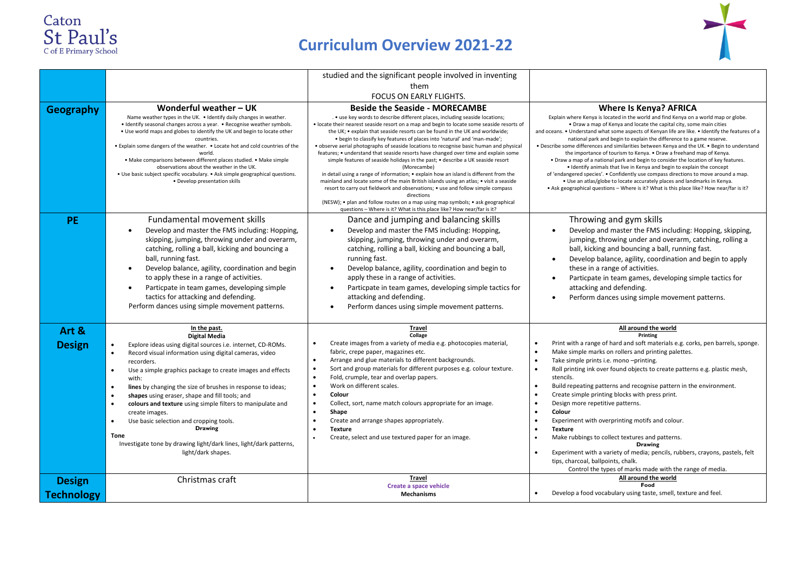



|                                    | studied and the significant people involved in inventing                                                                                                                                                                                                                                                                                                                                                                                                                                                                                                                                                                                                                                                               |                                                                                                                                                                                                                                                                                                                                                                                                                                                                                                                                                                                                                                                                                                                                                                                                                                                                                                                                                                                                                                                                                                                      |                                                                                                                                                                                                                                                                                                                                                                                                                                                                                                                                                                                                                                                                                                                                                                                                                                                                                                                                                                                |  |  |
|------------------------------------|------------------------------------------------------------------------------------------------------------------------------------------------------------------------------------------------------------------------------------------------------------------------------------------------------------------------------------------------------------------------------------------------------------------------------------------------------------------------------------------------------------------------------------------------------------------------------------------------------------------------------------------------------------------------------------------------------------------------|----------------------------------------------------------------------------------------------------------------------------------------------------------------------------------------------------------------------------------------------------------------------------------------------------------------------------------------------------------------------------------------------------------------------------------------------------------------------------------------------------------------------------------------------------------------------------------------------------------------------------------------------------------------------------------------------------------------------------------------------------------------------------------------------------------------------------------------------------------------------------------------------------------------------------------------------------------------------------------------------------------------------------------------------------------------------------------------------------------------------|--------------------------------------------------------------------------------------------------------------------------------------------------------------------------------------------------------------------------------------------------------------------------------------------------------------------------------------------------------------------------------------------------------------------------------------------------------------------------------------------------------------------------------------------------------------------------------------------------------------------------------------------------------------------------------------------------------------------------------------------------------------------------------------------------------------------------------------------------------------------------------------------------------------------------------------------------------------------------------|--|--|
|                                    |                                                                                                                                                                                                                                                                                                                                                                                                                                                                                                                                                                                                                                                                                                                        | them                                                                                                                                                                                                                                                                                                                                                                                                                                                                                                                                                                                                                                                                                                                                                                                                                                                                                                                                                                                                                                                                                                                 |                                                                                                                                                                                                                                                                                                                                                                                                                                                                                                                                                                                                                                                                                                                                                                                                                                                                                                                                                                                |  |  |
|                                    |                                                                                                                                                                                                                                                                                                                                                                                                                                                                                                                                                                                                                                                                                                                        | FOCUS ON EARLY FLIGHTS.                                                                                                                                                                                                                                                                                                                                                                                                                                                                                                                                                                                                                                                                                                                                                                                                                                                                                                                                                                                                                                                                                              |                                                                                                                                                                                                                                                                                                                                                                                                                                                                                                                                                                                                                                                                                                                                                                                                                                                                                                                                                                                |  |  |
| Geography                          | Wonderful weather - UK<br>Name weather types in the UK. . Identify daily changes in weather.<br>• Identify seasonal changes across a year. • Recognise weather symbols.<br>. Use world maps and globes to identify the UK and begin to locate other<br>countries.<br>. Explain some dangers of the weather. . Locate hot and cold countries of the<br>world.<br>· Make comparisons between different places studied. • Make simple<br>observations about the weather in the UK.<br>· Use basic subject specific vocabulary. • Ask simple geographical questions.<br>• Develop presentation skills                                                                                                                      | <b>Beside the Seaside - MORECAMBE</b><br>. • use key words to describe different places, including seaside locations;<br>. locate their nearest seaside resort on a map and begin to locate some seaside resorts of<br>the UK; • explain that seaside resorts can be found in the UK and worldwide;<br>. begin to classify key features of places into 'natural' and 'man-made';<br>· observe aerial photographs of seaside locations to recognise basic human and physical<br>features; • understand that seaside resorts have changed over time and explain some<br>simple features of seaside holidays in the past; • describe a UK seaside resort<br>(Morecambe)<br>in detail using a range of information; • explain how an island is different from the<br>mainland and locate some of the main British islands using an atlas; • visit a seaside<br>resort to carry out fieldwork and observations; • use and follow simple compass<br>directions<br>(NESW); • plan and follow routes on a map using map symbols; • ask geographical<br>questions - Where is it? What is this place like? How near/far is it? | <b>Where Is Kenya? AFRICA</b><br>Explain where Kenya is located in the world and find Kenya on a world map or globe.<br>. Draw a map of Kenya and locate the capital city, some main cities<br>and oceans. • Understand what some aspects of Kenyan life are like. • Identify the features of a<br>national park and begin to explain the difference to a game reserve.<br>. Describe some differences and similarities between Kenya and the UK. . Begin to understand<br>the importance of tourism to Kenya. . Draw a freehand map of Kenya.<br>. Draw a map of a national park and begin to consider the location of key features.<br>. Identify animals that live in Kenya and begin to explain the concept<br>of 'endangered species'. . Confidently use compass directions to move around a map.<br>. Use an atlas/globe to locate accurately places and landmarks in Kenya.<br>• Ask geographical questions - Where is it? What is this place like? How near/far is it? |  |  |
| <b>PE</b>                          | Fundamental movement skills<br>Develop and master the FMS including: Hopping,<br>skipping, jumping, throwing under and overarm,<br>catching, rolling a ball, kicking and bouncing a<br>ball, running fast.<br>Develop balance, agility, coordination and begin<br>to apply these in a range of activities.<br>Particpate in team games, developing simple<br>$\bullet$<br>tactics for attacking and defending.<br>Perform dances using simple movement patterns.                                                                                                                                                                                                                                                       | Dance and jumping and balancing skills<br>Develop and master the FMS including: Hopping,<br>skipping, jumping, throwing under and overarm,<br>catching, rolling a ball, kicking and bouncing a ball,<br>running fast.<br>Develop balance, agility, coordination and begin to<br>apply these in a range of activities.<br>Particpate in team games, developing simple tactics for<br>attacking and defending.<br>Perform dances using simple movement patterns.                                                                                                                                                                                                                                                                                                                                                                                                                                                                                                                                                                                                                                                       | Throwing and gym skills<br>Develop and master the FMS including: Hopping, skipping,<br>$\bullet$<br>jumping, throwing under and overarm, catching, rolling a<br>ball, kicking and bouncing a ball, running fast.<br>Develop balance, agility, coordination and begin to apply<br>$\bullet$<br>these in a range of activities.<br>Particpate in team games, developing simple tactics for<br>$\bullet$<br>attacking and defending.<br>Perform dances using simple movement patterns.<br>$\bullet$                                                                                                                                                                                                                                                                                                                                                                                                                                                                               |  |  |
| Art &<br><b>Design</b>             | In the past.<br><b>Digital Media</b><br>Explore ideas using digital sources i.e. internet, CD-ROMs.<br>$\bullet$<br>$\bullet$<br>Record visual information using digital cameras, video<br>recorders.<br>Use a simple graphics package to create images and effects<br>$\bullet$<br>with:<br>lines by changing the size of brushes in response to ideas;<br>$\bullet$<br>shapes using eraser, shape and fill tools; and<br>$\bullet$<br>colours and texture using simple filters to manipulate and<br>$\bullet$<br>create images.<br>Use basic selection and cropping tools.<br>$\bullet$<br><b>Drawing</b><br><b>Tone</b><br>Investigate tone by drawing light/dark lines, light/dark patterns,<br>light/dark shapes. | Travel<br>Collage<br>Create images from a variety of media e.g. photocopies material,<br>$\bullet$<br>fabric, crepe paper, magazines etc.<br>Arrange and glue materials to different backgrounds.<br>$\bullet$<br>Sort and group materials for different purposes e.g. colour texture.<br>$\bullet$<br>Fold, crumple, tear and overlap papers.<br>$\bullet$<br>Work on different scales.<br>$\bullet$<br>$\bullet$<br>Colour<br>$\bullet$<br>Collect, sort, name match colours appropriate for an image.<br>$\bullet$<br>Shape<br>Create and arrange shapes appropriately.<br>$\bullet$<br><b>Texture</b><br>$\bullet$<br>Create, select and use textured paper for an image.                                                                                                                                                                                                                                                                                                                                                                                                                                        | All around the world<br>Printing<br>Print with a range of hard and soft materials e.g. corks, pen barrels, sponge.<br>Make simple marks on rollers and printing palettes.<br>Take simple prints i.e. mono-printing.<br>Roll printing ink over found objects to create patterns e.g. plastic mesh,<br>stencils.<br>Build repeating patterns and recognise pattern in the environment.<br>Create simple printing blocks with press print.<br>Design more repetitive patterns.<br>Colour<br>Experiment with overprinting motifs and colour.<br><b>Texture</b><br>Make rubbings to collect textures and patterns.<br><b>Drawing</b><br>Experiment with a variety of media; pencils, rubbers, crayons, pastels, felt<br>tips, charcoal, ballpoints, chalk.<br>Control the types of marks made with the range of media.                                                                                                                                                              |  |  |
| <b>Design</b><br><b>Technology</b> | Christmas craft                                                                                                                                                                                                                                                                                                                                                                                                                                                                                                                                                                                                                                                                                                        | <b>Travel</b><br>Create a space vehicle<br><b>Mechanisms</b>                                                                                                                                                                                                                                                                                                                                                                                                                                                                                                                                                                                                                                                                                                                                                                                                                                                                                                                                                                                                                                                         | All around the world<br>Food<br>Develop a food vocabulary using taste, smell, texture and feel.                                                                                                                                                                                                                                                                                                                                                                                                                                                                                                                                                                                                                                                                                                                                                                                                                                                                                |  |  |